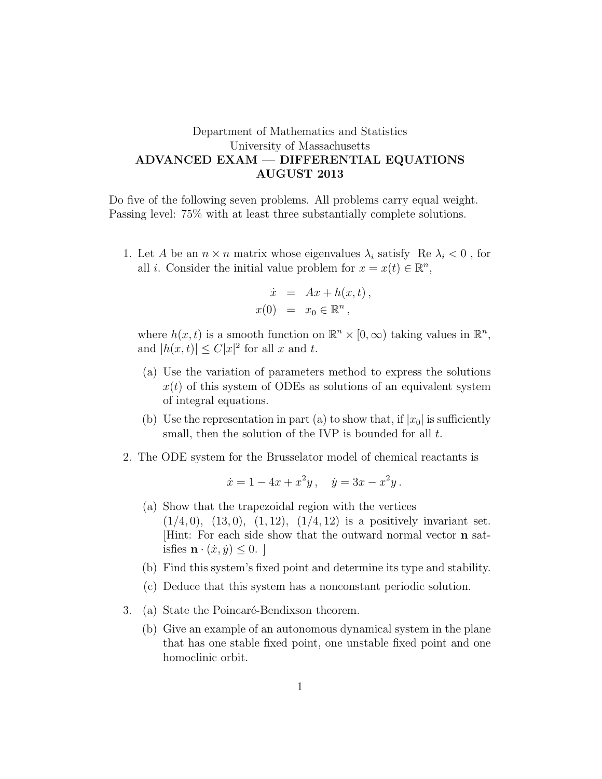## Department of Mathematics and Statistics University of Massachusetts ADVANCED EXAM — DIFFERENTIAL EQUATIONS AUGUST 2013

Do five of the following seven problems. All problems carry equal weight. Passing level: 75% with at least three substantially complete solutions.

1. Let A be an  $n \times n$  matrix whose eigenvalues  $\lambda_i$  satisfy Re  $\lambda_i < 0$ , for all *i*. Consider the initial value problem for  $x = x(t) \in \mathbb{R}^n$ ,

$$
\dot{x} = Ax + h(x, t),
$$
  

$$
x(0) = x_0 \in \mathbb{R}^n,
$$

where  $h(x, t)$  is a smooth function on  $\mathbb{R}^n \times [0, \infty)$  taking values in  $\mathbb{R}^n$ , and  $|h(x,t)| \leq C|x|^2$  for all x and t.

- (a) Use the variation of parameters method to express the solutions  $x(t)$  of this system of ODEs as solutions of an equivalent system of integral equations.
- (b) Use the representation in part (a) to show that, if  $|x_0|$  is sufficiently small, then the solution of the IVP is bounded for all t.
- 2. The ODE system for the Brusselator model of chemical reactants is

$$
\dot{x} = 1 - 4x + x^2y, \quad \dot{y} = 3x - x^2y.
$$

- (a) Show that the trapezoidal region with the vertices  $(1/4, 0), (13, 0), (1, 12), (1/4, 12)$  is a positively invariant set. [Hint: For each side show that the outward normal vector n satisfies  $\mathbf{n} \cdot (\dot{x}, \dot{y}) \leq 0$ .
- (b) Find this system's fixed point and determine its type and stability.
- (c) Deduce that this system has a nonconstant periodic solution.
- 3. (a) State the Poincaré-Bendixson theorem.
	- (b) Give an example of an autonomous dynamical system in the plane that has one stable fixed point, one unstable fixed point and one homoclinic orbit.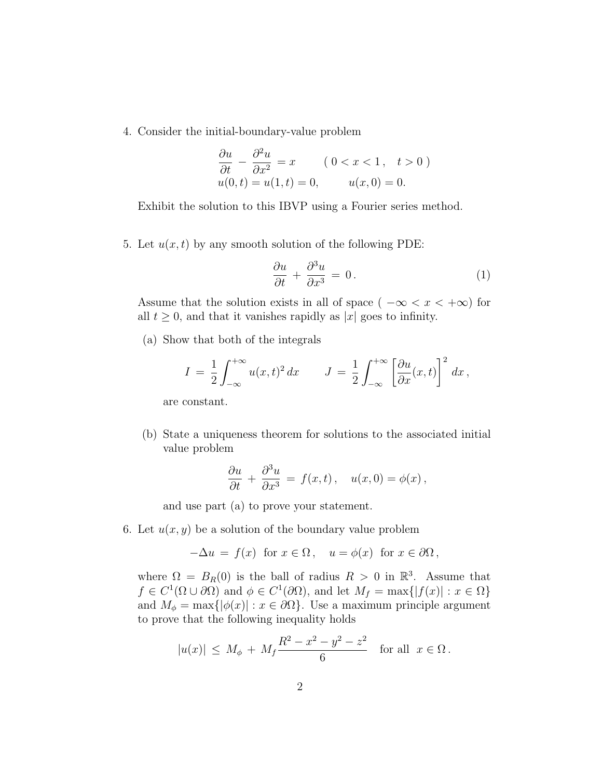4. Consider the initial-boundary-value problem

$$
\frac{\partial u}{\partial t} - \frac{\partial^2 u}{\partial x^2} = x \qquad (0 < x < 1, \quad t > 0)
$$
\n
$$
u(0, t) = u(1, t) = 0, \qquad u(x, 0) = 0.
$$

Exhibit the solution to this IBVP using a Fourier series method.

5. Let  $u(x, t)$  by any smooth solution of the following PDE:

$$
\frac{\partial u}{\partial t} + \frac{\partial^3 u}{\partial x^3} = 0.
$$
 (1)

Assume that the solution exists in all of space (  $-\infty < x < +\infty$ ) for all  $t \geq 0$ , and that it vanishes rapidly as |x| goes to infinity.

(a) Show that both of the integrals

$$
I = \frac{1}{2} \int_{-\infty}^{+\infty} u(x, t)^2 dx \qquad J = \frac{1}{2} \int_{-\infty}^{+\infty} \left[ \frac{\partial u}{\partial x}(x, t) \right]^2 dx,
$$

are constant.

(b) State a uniqueness theorem for solutions to the associated initial value problem

$$
\frac{\partial u}{\partial t} + \frac{\partial^3 u}{\partial x^3} = f(x, t), \quad u(x, 0) = \phi(x),
$$

and use part (a) to prove your statement.

6. Let  $u(x, y)$  be a solution of the boundary value problem

$$
-\Delta u = f(x) \text{ for } x \in \Omega, \quad u = \phi(x) \text{ for } x \in \partial\Omega,
$$

where  $\Omega = B_R(0)$  is the ball of radius  $R > 0$  in  $\mathbb{R}^3$ . Assume that  $f \in C^1(\Omega \cup \partial \Omega)$  and  $\phi \in C^1(\partial \Omega)$ , and let  $M_f = \max\{|f(x)| : x \in \Omega\}$ and  $M_{\phi} = \max\{|\phi(x)| : x \in \partial\Omega\}$ . Use a maximum principle argument to prove that the following inequality holds

$$
|u(x)| \le M_{\phi} + M_f \frac{R^2 - x^2 - y^2 - z^2}{6}
$$
 for all  $x \in \Omega$ .